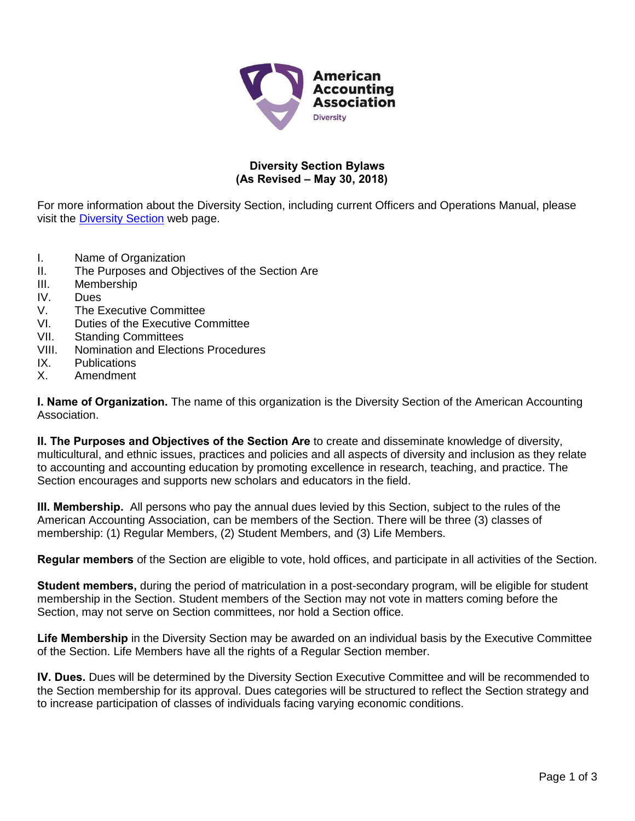

## **Diversity Section Bylaws (As Revised – May 30, 2018)**

For more information about the Diversity Section, including current Officers and Operations Manual, please visit the [Diversity Section](http://aaahq.org/div) web page.

- I. Name of Organization
- II. The Purposes and Objectives of the Section Are
- III. Membership
- IV. Dues
- V. The Executive Committee
- VI. Duties of the Executive Committee
- VII. Standing Committees
- VIII. Nomination and Elections Procedures
- IX. Publications
- X. Amendment

**I. Name of Organization.** The name of this organization is the Diversity Section of the American Accounting Association.

**II. The Purposes and Objectives of the Section Are** to create and disseminate knowledge of diversity, multicultural, and ethnic issues, practices and policies and all aspects of diversity and inclusion as they relate to accounting and accounting education by promoting excellence in research, teaching, and practice. The Section encourages and supports new scholars and educators in the field.

**III. Membership.** All persons who pay the annual dues levied by this Section, subject to the rules of the American Accounting Association, can be members of the Section. There will be three (3) classes of membership: (1) Regular Members, (2) Student Members, and (3) Life Members.

**Regular members** of the Section are eligible to vote, hold offices, and participate in all activities of the Section.

**Student members,** during the period of matriculation in a post-secondary program, will be eligible for student membership in the Section. Student members of the Section may not vote in matters coming before the Section, may not serve on Section committees, nor hold a Section office.

**Life Membership** in the Diversity Section may be awarded on an individual basis by the Executive Committee of the Section. Life Members have all the rights of a Regular Section member.

**IV. Dues.** Dues will be determined by the Diversity Section Executive Committee and will be recommended to the Section membership for its approval. Dues categories will be structured to reflect the Section strategy and to increase participation of classes of individuals facing varying economic conditions.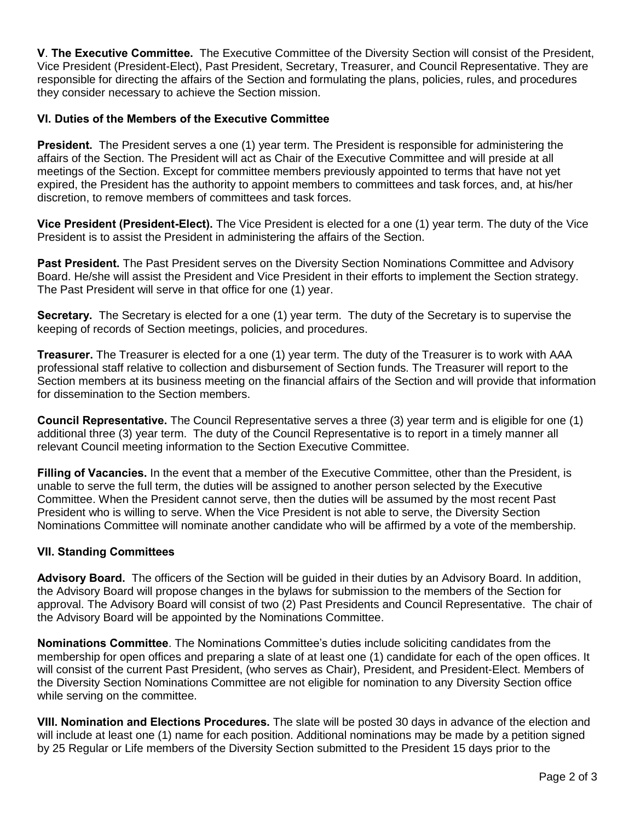**V**. **The Executive Committee.** The Executive Committee of the Diversity Section will consist of the President, Vice President (President-Elect), Past President, Secretary, Treasurer, and Council Representative. They are responsible for directing the affairs of the Section and formulating the plans, policies, rules, and procedures they consider necessary to achieve the Section mission.

## **VI. Duties of the Members of the Executive Committee**

**President.** The President serves a one (1) year term. The President is responsible for administering the affairs of the Section. The President will act as Chair of the Executive Committee and will preside at all meetings of the Section. Except for committee members previously appointed to terms that have not yet expired, the President has the authority to appoint members to committees and task forces, and, at his/her discretion, to remove members of committees and task forces.

**Vice President (President-Elect).** The Vice President is elected for a one (1) year term. The duty of the Vice President is to assist the President in administering the affairs of the Section.

**Past President.** The Past President serves on the Diversity Section Nominations Committee and Advisory Board. He/she will assist the President and Vice President in their efforts to implement the Section strategy. The Past President will serve in that office for one (1) year.

**Secretary.** The Secretary is elected for a one (1) year term. The duty of the Secretary is to supervise the keeping of records of Section meetings, policies, and procedures.

**Treasurer.** The Treasurer is elected for a one (1) year term. The duty of the Treasurer is to work with AAA professional staff relative to collection and disbursement of Section funds. The Treasurer will report to the Section members at its business meeting on the financial affairs of the Section and will provide that information for dissemination to the Section members.

**Council Representative.** The Council Representative serves a three (3) year term and is eligible for one (1) additional three (3) year term. The duty of the Council Representative is to report in a timely manner all relevant Council meeting information to the Section Executive Committee.

**Filling of Vacancies.** In the event that a member of the Executive Committee, other than the President, is unable to serve the full term, the duties will be assigned to another person selected by the Executive Committee. When the President cannot serve, then the duties will be assumed by the most recent Past President who is willing to serve. When the Vice President is not able to serve, the Diversity Section Nominations Committee will nominate another candidate who will be affirmed by a vote of the membership.

## **VII. Standing Committees**

**Advisory Board.** The officers of the Section will be guided in their duties by an Advisory Board. In addition, the Advisory Board will propose changes in the bylaws for submission to the members of the Section for approval. The Advisory Board will consist of two (2) Past Presidents and Council Representative. The chair of the Advisory Board will be appointed by the Nominations Committee.

**Nominations Committee**. The Nominations Committee's duties include soliciting candidates from the membership for open offices and preparing a slate of at least one (1) candidate for each of the open offices. It will consist of the current Past President, (who serves as Chair), President, and President-Elect. Members of the Diversity Section Nominations Committee are not eligible for nomination to any Diversity Section office while serving on the committee.

**VIII. Nomination and Elections Procedures.** The slate will be posted 30 days in advance of the election and will include at least one (1) name for each position. Additional nominations may be made by a petition signed by 25 Regular or Life members of the Diversity Section submitted to the President 15 days prior to the